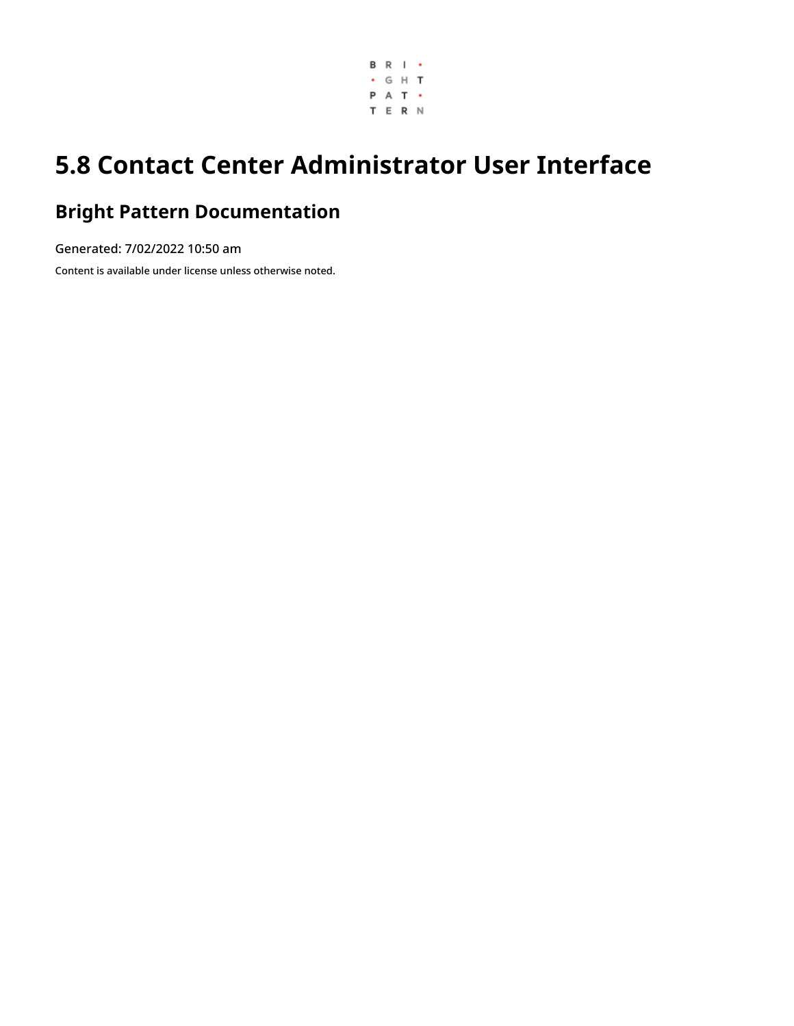

# **5.8 Contact Center Administrator User Interface**

### **Bright Pattern Documentation**

Generated: 7/02/2022 10:50 am Content is available under license unless otherwise noted.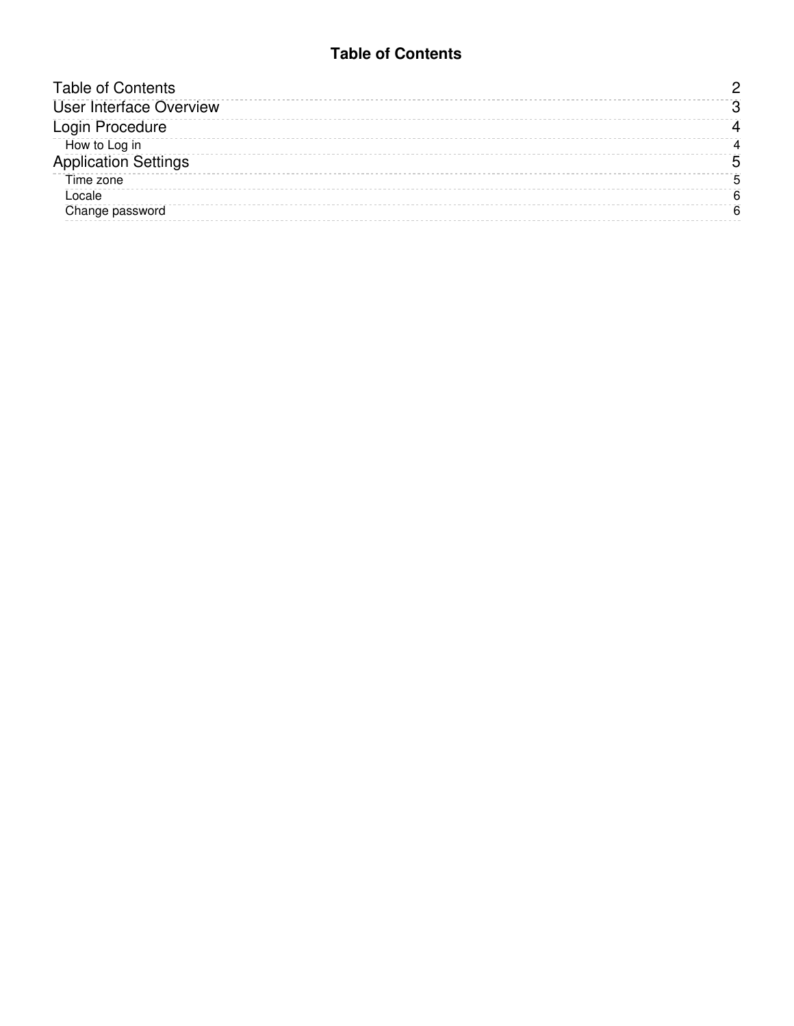#### **Table of Contents**

<span id="page-1-0"></span>

| <b>Table of Contents</b>       |  |
|--------------------------------|--|
| <b>User Interface Overview</b> |  |
| Login Procedure                |  |
| How to Log in                  |  |
| <b>Application Settings</b>    |  |
| Time zone                      |  |
| Locale                         |  |
| Change password                |  |
|                                |  |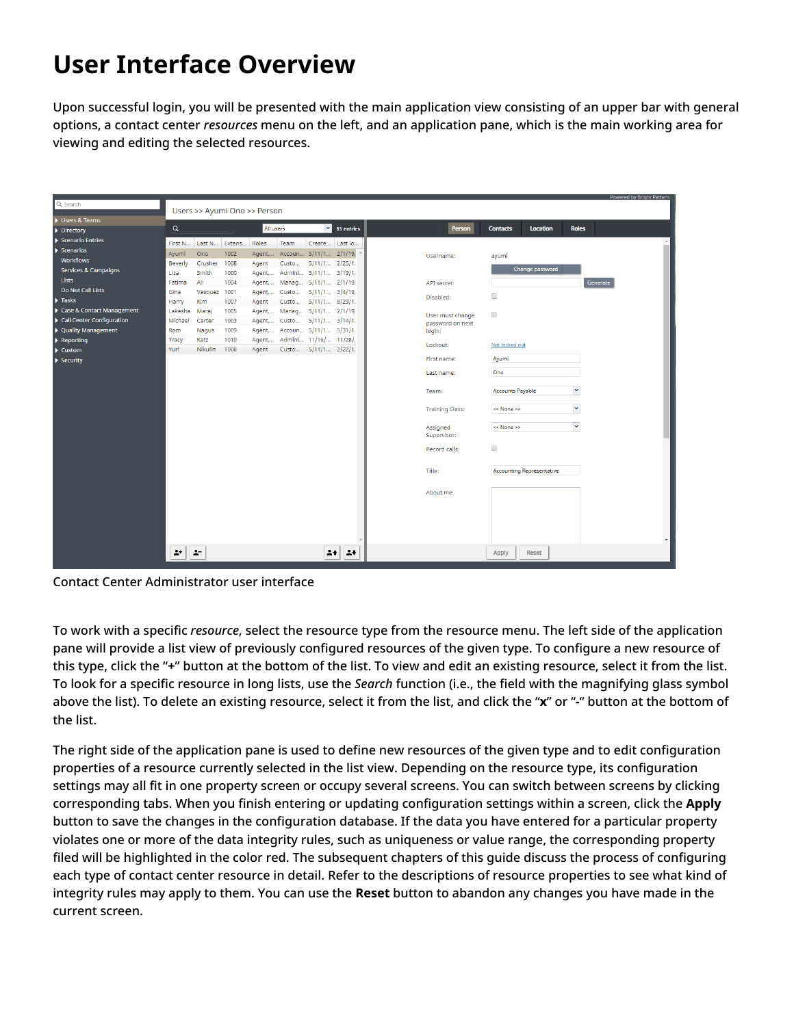# <span id="page-2-0"></span>**User Interface Overview**

Upon successful login, you will be presented with the main application view consisting of an upper bar with general options, a contact center *resources* menu on the left, and an application pane, which is the main working area for viewing and editing the selected resources.

|                                 |          |                    |                              |           |       |                                |                         |                        |                      |                                  | Powered by Bright Pattern |
|---------------------------------|----------|--------------------|------------------------------|-----------|-------|--------------------------------|-------------------------|------------------------|----------------------|----------------------------------|---------------------------|
| Q Search                        |          |                    | Users >> Ayumi Ono >> Person |           |       |                                |                         |                        |                      |                                  |                           |
| Users & Teams                   |          |                    |                              |           |       |                                |                         |                        |                      |                                  |                           |
| $\triangleright$ Directory      | $\alpha$ |                    |                              | All users |       |                                | $\mathbf{v}$ 11 entries | Person                 | <b>Contacts</b>      | <b>Location</b>                  | <b>Roles</b>              |
| Scenario Entries                | First N  |                    | Last N Extens                | Roles     | Team  | Create Last lo                 |                         |                        |                      |                                  |                           |
| $\blacktriangleright$ Scenarios | Ayumi    | Ono                | 1002                         |           |       | Agent, Accoun 5/11/1 2/1/19, 4 |                         | Username:              | ayumi                |                                  |                           |
| <b>Workflows</b>                | Beverly  | Crusher            | 1008                         | Agent     | Custo | $5/11/1$ $2/25/1.$             |                         |                        |                      |                                  |                           |
| <b>Services &amp; Campaigns</b> | Liza     | Smith              | 1000                         | Agent,    |       | Admini 5/11/1 3/19/1.          |                         |                        |                      | Change password                  |                           |
| Lists                           | Fatima   | Ali                | 1004                         | Agent,    |       | Manag 5/11/1 2/1/19,           |                         | API secret:            |                      |                                  | Generate                  |
| Do Not Call Lists               | Gina     | Vasquez            | 1001                         | Agent,    | Custo | $5/11/1$ $3/4/19$ ,            |                         |                        | $\Box$               |                                  |                           |
| $\blacktriangleright$ Tasks     | Harry    | <b>Kim</b>         | 1007                         | Agent     | Custo | $5/11/1$ 8/29/1.               |                         | Disabled:              |                      |                                  |                           |
| ▶ Case & Contact Management     | Lakesha  | Maraj              | 1005                         | Agent,    |       | Manag 5/11/1 2/1/19,           |                         | User must change       | $\qquad \qquad \Box$ |                                  |                           |
| Call Center Configuration       | Michael  | Carter             | 1003                         | Agent,    | Custo | $5/11/1$ $3/14/1.$             |                         | password on next       |                      |                                  |                           |
| ▶ Quality Management            | Rom      | Nagus              | 1009                         |           |       | Agent, Accoun 5/11/1 5/31/1.   |                         | login:                 |                      |                                  |                           |
| $\blacktriangleright$ Reporting | Tracy    | Katz               | 1010                         |           |       | Agent, Admini 11/16/ 11/28/.   |                         | Lockout:               | Not locked out       |                                  |                           |
| $\blacktriangleright$ Custom    | Yuri     | <b>Nikulin</b>     | 1006                         | Agent     |       | Custo 5/11/1 2/22/1.           |                         |                        |                      |                                  |                           |
| $\blacktriangleright$ Security  |          |                    |                              |           |       |                                |                         | First name:            | Ayumi                |                                  |                           |
|                                 |          |                    |                              |           |       |                                |                         | Last name:             | Ono                  |                                  |                           |
|                                 |          |                    |                              |           |       |                                |                         |                        |                      |                                  |                           |
|                                 |          |                    |                              |           |       |                                |                         | Team:                  | Accounts Payable     |                                  | $\checkmark$              |
|                                 |          |                    |                              |           |       |                                |                         |                        |                      |                                  |                           |
|                                 |          |                    |                              |           |       |                                |                         | <b>Training Class:</b> | << None >>           |                                  | $\checkmark$              |
|                                 |          |                    |                              |           |       |                                |                         | Assigned               | << None >>           |                                  | $\overline{\mathbf{v}}$   |
|                                 |          |                    |                              |           |       |                                |                         | Supervisor:            |                      |                                  |                           |
|                                 |          |                    |                              |           |       |                                |                         |                        |                      |                                  |                           |
|                                 |          |                    |                              |           |       |                                |                         | Record calls:          | $\Box$               |                                  |                           |
|                                 |          |                    |                              |           |       |                                |                         |                        |                      |                                  |                           |
|                                 |          |                    |                              |           |       |                                |                         | Title:                 |                      | <b>Accounting Representative</b> |                           |
|                                 |          |                    |                              |           |       |                                |                         |                        |                      |                                  |                           |
|                                 |          |                    |                              |           |       |                                |                         | About me:              |                      |                                  |                           |
|                                 |          |                    |                              |           |       |                                |                         |                        |                      |                                  |                           |
|                                 |          |                    |                              |           |       |                                |                         |                        |                      |                                  |                           |
|                                 |          |                    |                              |           |       |                                |                         |                        |                      |                                  |                           |
|                                 |          |                    |                              |           |       |                                |                         |                        |                      |                                  |                           |
|                                 |          |                    |                              |           |       |                                |                         |                        |                      |                                  |                           |
|                                 | 2+       | $\blacktriangle^-$ |                              |           |       | 24                             | $\rightarrow$           |                        | Apply                | <b>Reset</b>                     |                           |
|                                 |          |                    |                              |           |       |                                |                         |                        |                      |                                  |                           |

Contact Center Administrator user interface

To work with a specific *resource*, select the resource type from the resource menu. The left side of the application pane will provide a list view of previously configured resources of the given type. To configure a new resource of this type, click the "**+**" button at the bottom of the list. To view and edit an existing resource, select it from the list. To look for a specific resource in long lists, use the *Search* function (i.e., the field with the magnifying glass symbol above the list). To delete an existing resource, select it from the list, and click the "**x**" or "**-**" button at the bottom of the list.

The right side of the application pane is used to define new resources of the given type and to edit configuration properties of a resource currently selected in the list view. Depending on the resource type, its configuration settings may all fit in one property screen or occupy several screens. You can switch between screens by clicking corresponding tabs. When you finish entering or updating configuration settings within a screen, click the **Apply** button to save the changes in the configuration database. If the data you have entered for a particular property violates one or more of the data integrity rules, such as uniqueness or value range, the corresponding property filed will be highlighted in the color red. The subsequent chapters of this guide discuss the process of configuring each type of contact center resource in detail. Refer to the descriptions of resource properties to see what kind of integrity rules may apply to them. You can use the **Reset** button to abandon any changes you have made in the current screen.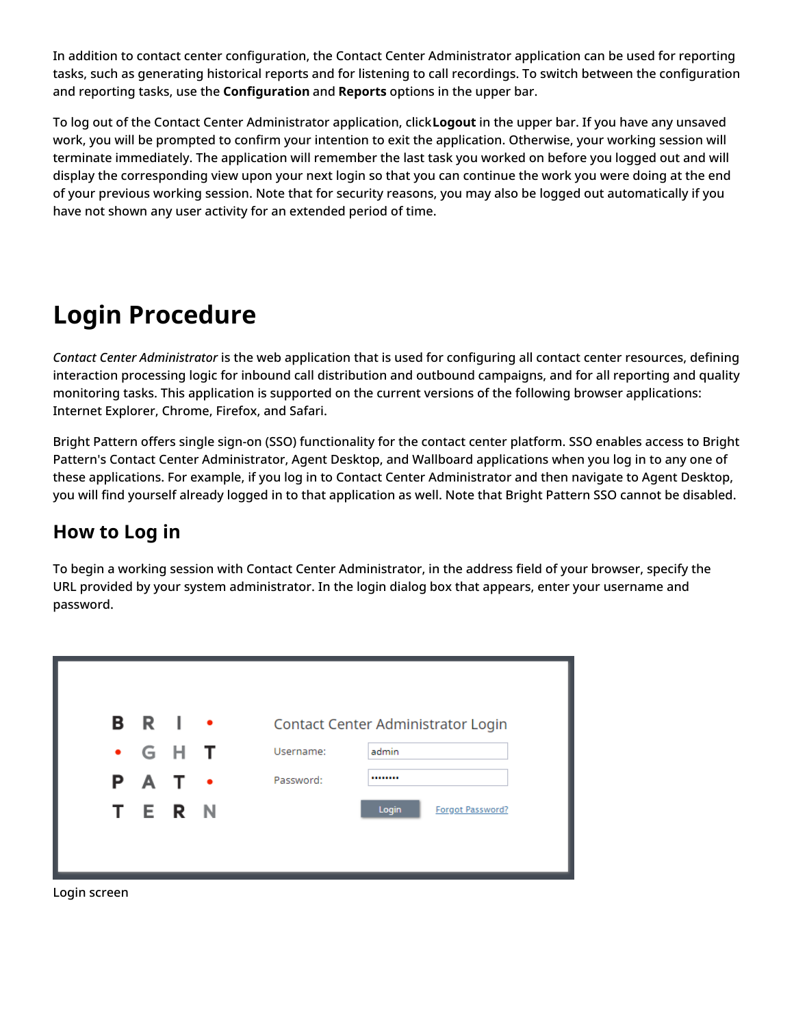In addition to contact center configuration, the Contact Center Administrator application can be used for reporting tasks, such as generating historical reports and for listening to call recordings. To switch between the configuration and reporting tasks, use the **Configuration** and **Reports** options in the upper bar.

To log out of the Contact Center Administrator application, click**Logout** in the upper bar. If you have any unsaved work, you will be prompted to confirm your intention to exit the application. Otherwise, your working session will terminate immediately. The application will remember the last task you worked on before you logged out and will display the corresponding view upon your next login so that you can continue the work you were doing at the end of your previous working session. Note that for security reasons, you may also be logged out automatically if you have not shown any user activity for an extended period of time.

# <span id="page-3-0"></span>**Login Procedure**

*Contact Center Administrator* is the web application that is used for configuring all contact center resources, defining interaction processing logic for inbound call distribution and outbound campaigns, and for all reporting and quality monitoring tasks. This application is supported on the current versions of the following browser applications: Internet Explorer, Chrome, Firefox, and Safari.

Bright Pattern offers single sign-on (SSO) functionality for the contact center platform. SSO enables access to Bright Pattern's Contact Center Administrator, Agent Desktop, and Wallboard applications when you log in to any one of these applications. For example, if you log in to Contact Center Administrator and then navigate to Agent Desktop, you will find yourself already logged in to that application as well. Note that Bright Pattern SSO cannot be disabled.

### <span id="page-3-1"></span>**How to Log in**

To begin a working session with Contact Center Administrator, in the address field of your browser, specify the URL provided by your system administrator. In the login dialog box that appears, enter your username and password.

| <b>BRI •</b> |               | Contact Center Administrator Login |
|--------------|---------------|------------------------------------|
|              | $\cdot$ G H T | admin<br>Username:                 |
| P A T ·      |               | Password:<br>                      |
| TERN         |               | Login<br>Forgot Password?          |

Login screen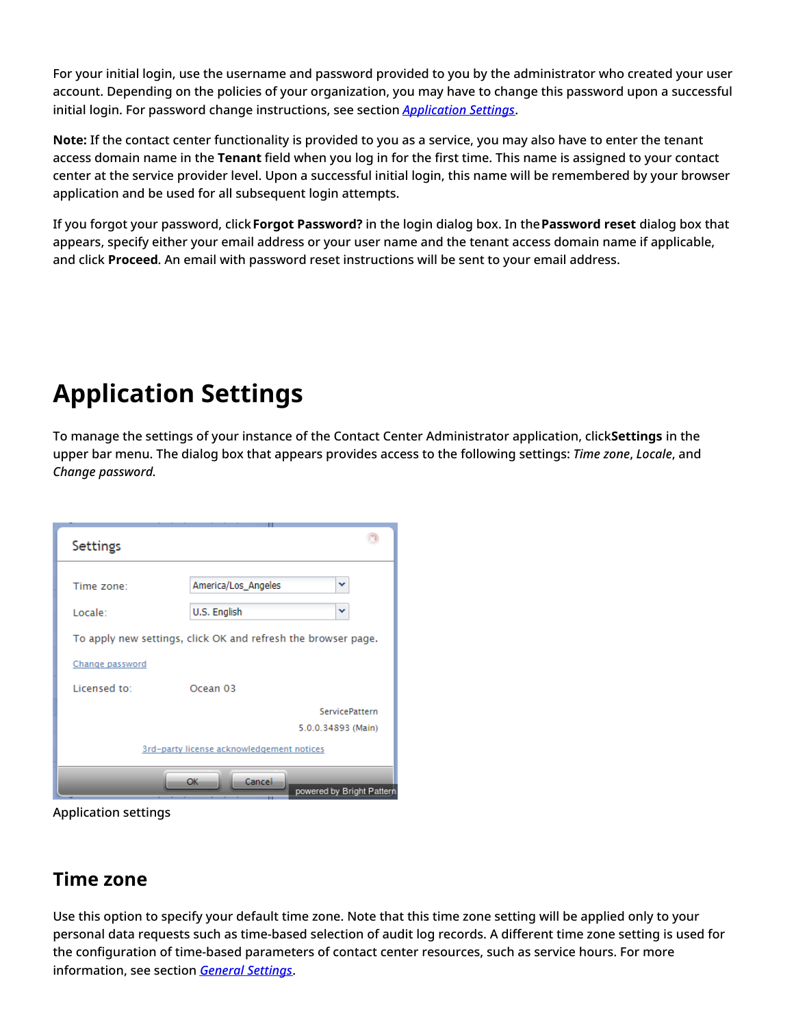For your initial login, use the username and password provided to you by the administrator who created your user account. Depending on the policies of your organization, you may have to change this password upon a successful initial login. For password change instructions, see section *[Application](https://help.brightpattern.com/5.8:Contact-center-administrator-guide/UserInterface/AboutUserInterface/?action=html-localimages-export#topic_contact-center-administrator-guide.2Fapplicationsettings) Settings*.

**Note:** If the contact center functionality is provided to you as a service, you may also have to enter the tenant access domain name in the **Tenant** field when you log in for the first time. This name is assigned to your contact center at the service provider level. Upon a successful initial login, this name will be remembered by your browser application and be used for all subsequent login attempts.

If you forgot your password, click**Forgot Password?** in the login dialog box. In the**Password reset** dialog box that appears, specify either your email address or your user name and the tenant access domain name if applicable, and click **Proceed**. An email with password reset instructions will be sent to your email address.

### <span id="page-4-0"></span>**Application Settings**

To manage the settings of your instance of the Contact Center Administrator application, click**Settings** in the upper bar menu. The dialog box that appears provides access to the following settings: *Time zone*, *Locale*, and *Change password*.

| <b>Settings</b>                                               |                           |  |  |  |  |  |  |
|---------------------------------------------------------------|---------------------------|--|--|--|--|--|--|
|                                                               | ▾                         |  |  |  |  |  |  |
| Time zone:                                                    | America/Los_Angeles       |  |  |  |  |  |  |
| Locale:                                                       | U.S. English<br>v         |  |  |  |  |  |  |
| To apply new settings, click OK and refresh the browser page. |                           |  |  |  |  |  |  |
| Change password                                               |                           |  |  |  |  |  |  |
| Licensed to:                                                  | Ocean <sub>03</sub>       |  |  |  |  |  |  |
|                                                               | <b>ServicePattern</b>     |  |  |  |  |  |  |
| 5.0.0.34893 (Main)                                            |                           |  |  |  |  |  |  |
| 3rd-party license acknowledgement notices                     |                           |  |  |  |  |  |  |
|                                                               | <b>OK</b><br>Cancel       |  |  |  |  |  |  |
|                                                               | powered by Bright Pattern |  |  |  |  |  |  |

Application settings

#### <span id="page-4-1"></span>**Time zone**

Use this option to specify your default time zone. Note that this time zone setting will be applied only to your personal data requests such as time-based selection of audit log records. A different time zone setting is used for the configuration of time-based parameters of contact center resources, such as service hours. For more information, see section *General [Settings](https://help.brightpattern.com/5.8:Contact-center-administrator-guide/UserInterface/AboutUserInterface/?action=html-localimages-export#topic_contact-center-administrator-guide.2Fgeneralsettings)*.